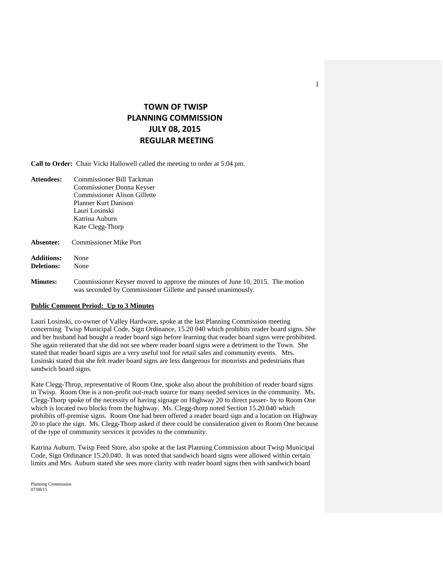# **TOWN OF TWISP PLANNING COMMISSION JULY 08, 2015 REGULAR MEETING**

**Call to Order:** Chair Vicki Hallowell called the meeting to order at 5:04 pm.

- **Attendees:** Commissioner Bill Tackman Commissioner Donna Keyser Commissioner Alison Gillette Planner Kurt Danison Lauri Losinski Katrina Auburn Kate Clegg-Thorp
- **Absentee:** Commissioner Mike Port
- **Additions:** None **Deletions:** None

**Minutes:** Commissioner Keyser moved to approve the minutes of June 10, 2015. The motion was seconded by Commissioner Gillette and passed unanimously.

#### **Public Comment Period: Up to 3 Minutes**

Lauri Losinski, co-owner of Valley Hardware, spoke at the last Planning Commission meeting concerning Twisp Municipal Code, Sign Ordinance, 15.20 040 which prohibits reader board signs. She and her husband had bought a reader board sign before learning that reader board signs were prohibited. She again reiterated that she did not see where reader board signs were a detriment to the Town. She stated that reader board signs are a very useful tool for retail sales and community events. Mrs. Losinski stated that she felt reader board signs are less dangerous for motorists and pedestrians than sandwich board signs.

Kate Clegg-Throp, representative of Room One, spoke also about the prohibition of reader board signs in Twisp. Room One is a non-profit out-reach source for many needed services in the community. Ms. Clegg-Thorp spoke of the necessity of having signage on Highway 20 to direct passer- by to Room One which is located two blocks from the highway. Ms. Clegg-thorp noted Section 15.20.040 which prohibits off-premise signs. Room One had been offered a reader board sign and a location on Highway 20 to place the sign. Ms. Clegg-Thorp asked if there could be consideration given to Room One because of the type of community services it provides to the community.

Katrina Auburn, Twisp Feed Store, also spoke at the last Planning Commission about Twisp Municipal Code, Sign Ordinance 15.20.040. It was noted that sandwich board signs were allowed within certain limits and Mrs. Auburn stated she sees more clarity with reader board signs then with sandwich board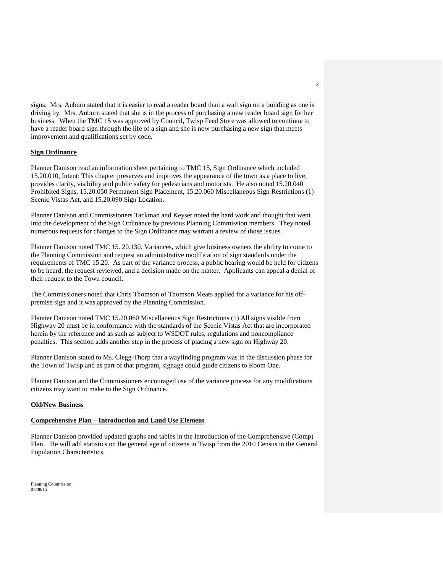signs. Mrs. Auburn stated that it is easier to read a reader board than a wall sign on a building as one is driving by. Mrs. Auburn stated that she is in the process of purchasing a new reader board sign for her business. When the TMC 15 was approved by Council, Twisp Feed Store was allowed to continue to have a reader board sign through the life of a sign and she is now purchasing a new sign that meets improvement and qualifications set by code.

#### **Sign Ordinance**

Planner Danison read an information sheet pertaining to TMC 15, Sign Ordinance which included 15.20.010, Intent: This chapter preserves and improves the appearance of the town as a place to live, provides clarity, visibility and public safety for pedestrians and motorists. He also noted 15.20.040 Prohibited Signs, 15.20.050 Permanent Sign Placement, 15.20.060 Miscellaneous Sign Restrictions (1) Scenic Vistas Act, and 15.20.090 Sign Location.

Planner Danison and Commissioners Tackman and Keyser noted the hard work and thought that went into the development of the Sign Ordinance by previous Planning Commission members. They noted numerous requests for changes to the Sign Ordinance may warrant a review of those issues.

Planner Danison noted TMC 15. 20.130. Variances, which give business owners the ability to come to the Planning Commission and request an administrative modification of sign standards under the requirements of TMC 15.20. As part of the variance process, a public hearing would be held for citizens to be heard, the request reviewed, and a decision made on the matter. Applicants can appeal a denial of their request to the Town council.

The Commissioners noted that Chris Thomson of Thomson Meats applied for a variance for his offpremise sign and it was approved by the Planning Commission.

Planner Danison noted TMC 15.20.060 Miscellaneous Sign Restrictions (1) All signs visible from Highway 20 must be in conformance with the standards of the Scenic Vistas Act that are incorporated herein by the reference and as such as subject to WSDOT rules, regulations and noncompliance penalties. This section adds another step in the process of placing a new sign on Highway 20.

Planner Danison stated to Ms. Clegg-Thorp that a wayfinding program was in the discussion phase for the Town of Twisp and as part of that program, signage could guide citizens to Room One.

Planner Danison and the Commissioners encouraged use of the variance process for any modifications citizens may want to make to the Sign Ordinance.

#### **Old/New Business**

#### **Comprehensive Plan – Introduction and Land Use Element**

Planner Danison provided updated graphs and tables in the Introduction of the Comprehensive (Comp) Plan. He will add statistics on the general age of citizens in Twisp from the 2010 Census in the General Population Characteristics.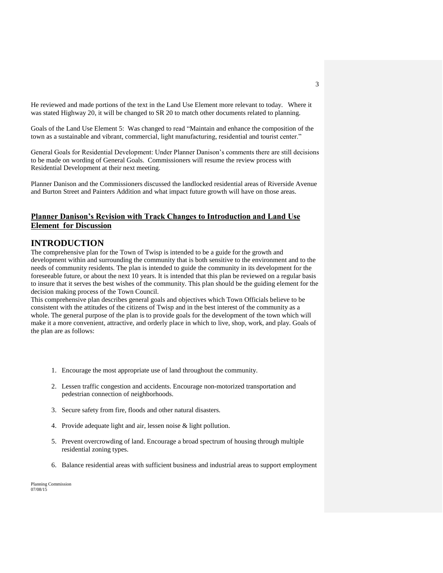He reviewed and made portions of the text in the Land Use Element more relevant to today. Where it was stated Highway 20, it will be changed to SR 20 to match other documents related to planning.

Goals of the Land Use Element 5: Was changed to read "Maintain and enhance the composition of the town as a sustainable and vibrant, commercial, light manufacturing, residential and tourist center."

General Goals for Residential Development: Under Planner Danison's comments there are still decisions to be made on wording of General Goals. Commissioners will resume the review process with Residential Development at their next meeting.

Planner Danison and the Commissioners discussed the landlocked residential areas of Riverside Avenue and Burton Street and Painters Addition and what impact future growth will have on those areas.

### **Planner Danison's Revision with Track Changes to Introduction and Land Use Element for Discussion**

### **INTRODUCTION**

The comprehensive plan for the Town of Twisp is intended to be a guide for the growth and development within and surrounding the community that is both sensitive to the environment and to the needs of community residents. The plan is intended to guide the community in its development for the foreseeable future, or about the next 10 years. It is intended that this plan be reviewed on a regular basis to insure that it serves the best wishes of the community. This plan should be the guiding element for the decision making process of the Town Council.

This comprehensive plan describes general goals and objectives which Town Officials believe to be consistent with the attitudes of the citizens of Twisp and in the best interest of the community as a whole. The general purpose of the plan is to provide goals for the development of the town which will make it a more convenient, attractive, and orderly place in which to live, shop, work, and play. Goals of the plan are as follows:

- 1. Encourage the most appropriate use of land throughout the community.
- 2. Lessen traffic congestion and accidents. Encourage non-motorized transportation and pedestrian connection of neighborhoods.
- 3. Secure safety from fire, floods and other natural disasters.
- 4. Provide adequate light and air, lessen noise & light pollution.
- 5. Prevent overcrowding of land. Encourage a broad spectrum of housing through multiple residential zoning types.
- 6. Balance residential areas with sufficient business and industrial areas to support employment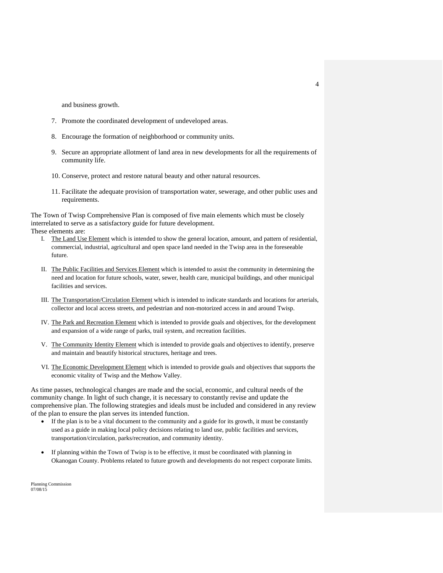and business growth.

- 7. Promote the coordinated development of undeveloped areas.
- 8. Encourage the formation of neighborhood or community units.
- 9. Secure an appropriate allotment of land area in new developments for all the requirements of community life.
- 10. Conserve, protect and restore natural beauty and other natural resources.
- 11. Facilitate the adequate provision of transportation water, sewerage, and other public uses and requirements.

The Town of Twisp Comprehensive Plan is composed of five main elements which must be closely interrelated to serve as a satisfactory guide for future development. These elements are:

- I. The Land Use Element which is intended to show the general location, amount, and pattern of residential, commercial, industrial, agricultural and open space land needed in the Twisp area in the foreseeable future.
- II. The Public Facilities and Services Element which is intended to assist the community in determining the need and location for future schools, water, sewer, health care, municipal buildings, and other municipal facilities and services.
- III. The Transportation/Circulation Element which is intended to indicate standards and locations for arterials, collector and local access streets, and pedestrian and non-motorized access in and around Twisp.
- IV. The Park and Recreation Element which is intended to provide goals and objectives, for the development and expansion of a wide range of parks, trail system, and recreation facilities.
- V. The Community Identity Element which is intended to provide goals and objectives to identify, preserve and maintain and beautify historical structures, heritage and trees.
- VI. The Economic Development Element which is intended to provide goals and objectives that supports the economic vitality of Twisp and the Methow Valley.

As time passes, technological changes are made and the social, economic, and cultural needs of the community change. In light of such change, it is necessary to constantly revise and update the comprehensive plan. The following strategies and ideals must be included and considered in any review of the plan to ensure the plan serves its intended function.

- If the plan is to be a vital document to the community and a guide for its growth, it must be constantly used as a guide in making local policy decisions relating to land use, public facilities and services, transportation/circulation, parks/recreation, and community identity.
- If planning within the Town of Twisp is to be effective, it must be coordinated with planning in Okanogan County. Problems related to future growth and developments do not respect corporate limits.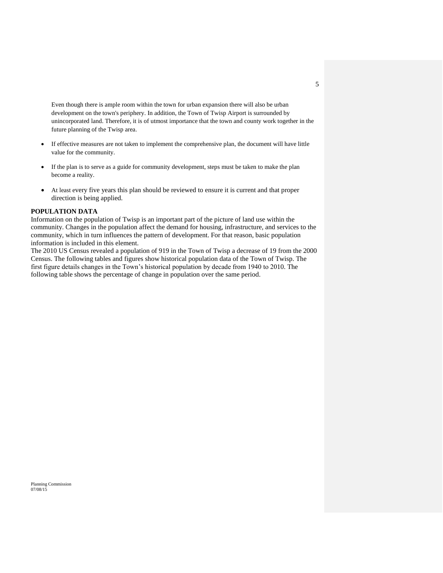Even though there is ample room within the town for urban expansion there will also be urban development on the town's periphery. In addition, the Town of Twisp Airport is surrounded by unincorporated land. Therefore, it is of utmost importance that the town and county work together in the future planning of the Twisp area.

- If effective measures are not taken to implement the comprehensive plan, the document will have little value for the community.
- If the plan is to serve as a guide for community development, steps must be taken to make the plan become a reality.
- At least every five years this plan should be reviewed to ensure it is current and that proper direction is being applied.

#### **POPULATION DATA**

Information on the population of Twisp is an important part of the picture of land use within the community. Changes in the population affect the demand for housing, infrastructure, and services to the community, which in turn influences the pattern of development. For that reason, basic population information is included in this element.

The 2010 US Census revealed a population of 919 in the Town of Twisp a decrease of 19 from the 2000 Census. The following tables and figures show historical population data of the Town of Twisp. The first figure details changes in the Town's historical population by decade from 1940 to 2010. The following table shows the percentage of change in population over the same period.

5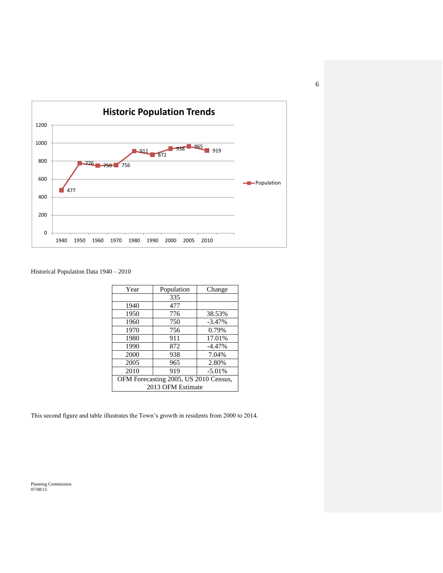

### Historical Population Data 1940 – 2010

| Year                                  | Population | Change   |  |
|---------------------------------------|------------|----------|--|
|                                       | 335        |          |  |
| 1940                                  | 477        |          |  |
| 1950                                  | 776        | 38.53%   |  |
| 1960                                  | 750        | $-3.47%$ |  |
| 1970                                  | 756        | 0.79%    |  |
| 1980                                  | 911        | 17.01%   |  |
| 1990                                  | 872        | $-4.47%$ |  |
| 2000                                  | 938        | 7.04%    |  |
| 2005                                  | 965        | 2.80%    |  |
| 2010                                  | 919        | $-5.01%$ |  |
| OFM Forecasting 2005, US 2010 Census, |            |          |  |
| 2013 OFM Estimate                     |            |          |  |

This second figure and table illustrates the Town's growth in residents from 2000 to 2014.

Planning Commission 07/08/15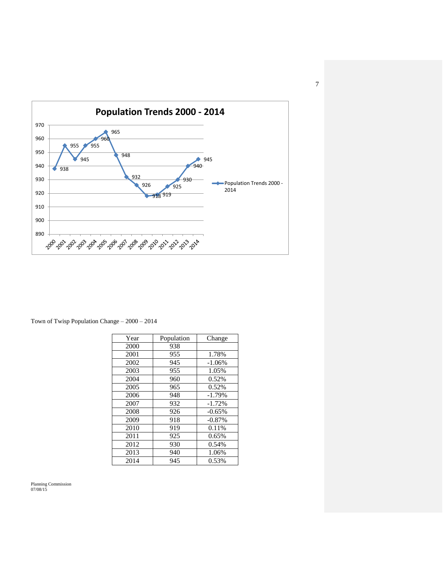

Town of Twisp Population Change – 2000 – 2014

| Year | Population | Change    |
|------|------------|-----------|
| 2000 | 938        |           |
| 2001 | 955        | 1.78%     |
| 2002 | 945        | $-1.06\%$ |
| 2003 | 955        | 1.05%     |
| 2004 | 960        | 0.52%     |
| 2005 | 965        | 0.52%     |
| 2006 | 948        | $-1.79%$  |
| 2007 | 932        | $-1.72%$  |
| 2008 | 926        | $-0.65%$  |
| 2009 | 918        | $-0.87%$  |
| 2010 | 919        | 0.11%     |
| 2011 | 925        | 0.65%     |
| 2012 | 930        | 0.54%     |
| 2013 | 940        | 1.06%     |
| 2014 | 945        | 0.53%     |

Planning Commission 07/08/15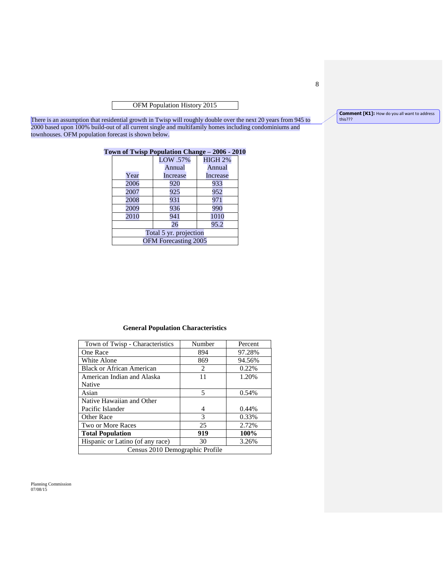OFM Population History 2015

There is an assumption that residential growth in Twisp will roughly double over the next 20 years from 945 to 2000 based upon 100% build-out of all current single and multifamily homes including condominiums and townhouses. OFM population forecast is shown below.

### **Town of Twisp Population Change – 2006 - 2010**

|                        | LOW .57% | <b>HIGH 2%</b> |  |
|------------------------|----------|----------------|--|
|                        | Annual   | Annual         |  |
| Year                   | Increase | Increase       |  |
| 2006                   | 920      | 933            |  |
| 2007                   | 925      | 952            |  |
| 2008                   | 931      | 971            |  |
| 2009                   | 936      | 990            |  |
| 2010                   | 941      | 1010           |  |
|                        | 26       | 95.2           |  |
| Total 5 yr. projection |          |                |  |
| OFM Forecasting 2005   |          |                |  |

#### **General Population Characteristics**

| Town of Twisp - Characteristics  | Number | Percent |  |
|----------------------------------|--------|---------|--|
| One Race                         | 894    | 97.28%  |  |
| White Alone                      | 869    | 94.56%  |  |
| <b>Black or African American</b> | 2      | 0.22%   |  |
| American Indian and Alaska       | 11     | 1.20%   |  |
| Native                           |        |         |  |
| Asian                            | 5      | 0.54%   |  |
| Native Hawaiian and Other        |        |         |  |
| Pacific Islander                 | 4      | 0.44%   |  |
| <b>Other Race</b>                | 3      | 0.33%   |  |
| Two or More Races                | 25     | 2.72%   |  |
| <b>Total Population</b>          | 919    | 100%    |  |
| Hispanic or Latino (of any race) | 30     | 3.26%   |  |
| Census 2010 Demographic Profile  |        |         |  |

Planning Commission 07/08/15

8

**Comment [K1]:** How do you all want to address this???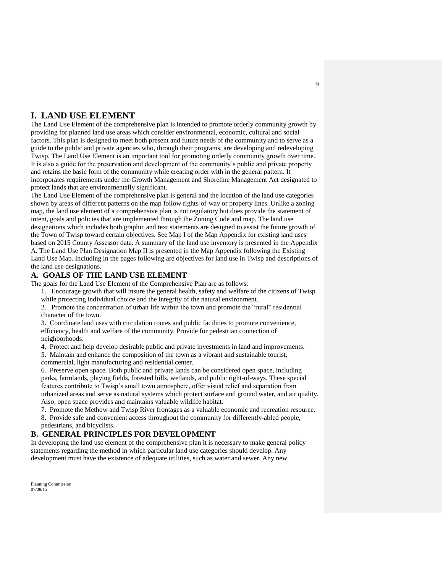## **I. LAND USE ELEMENT**

The Land Use Element of the comprehensive plan is intended to promote orderly community growth by providing for planned land use areas which consider environmental, economic, cultural and social factors. This plan is designed to meet both present and future needs of the community and to serve as a guide to the public and private agencies who, through their programs, are developing and redeveloping Twisp. The Land Use Element is an important tool for promoting orderly community growth over time. It is also a guide for the preservation and development of the community's public and private property and retains the basic form of the community while creating order with in the general pattern. It incorporates requirements under the Growth Management and Shoreline Management Act designated to protect lands that are environmentally significant.

The Land Use Element of the comprehensive plan is general and the location of the land use categories shown by areas of different patterns on the map follow rights-of-way or property lines. Unlike a zoning map, the land use element of a comprehensive plan is not regulatory but does provide the statement of intent, goals and policies that are implemented through the Zoning Code and map. The land use designations which includes both graphic and text statements are designed to assist the future growth of the Town of Twisp toward certain objectives. See Map I of the Map Appendix for existing land uses based on 2015 County Assessor data. A summary of the land use inventory is presented in the Appendix A. The Land Use Plan Designation Map II is presented in the Map Appendix following the Existing Land Use Map. Including in the pages following are objectives for land use in Twisp and descriptions of the land use designations.

### **A. GOALS OF THE LAND USE ELEMENT**

The goals for the Land Use Element of the Comprehensive Plan are as follows:

1. Encourage growth that will insure the general health, safety and welfare of the citizens of Twisp while protecting individual choice and the integrity of the natural environment.

2. Promote the concentration of urban life within the town and promote the "rural" residential character of the town.

3. Coordinate land uses with circulation routes and public facilities to promote convenience, efficiency, health and welfare of the community. Provide for pedestrian connection of neighborhoods.

4. Protect and help develop desirable public and private investments in land and improvements.

5. Maintain and enhance the composition of the town as a vibrant and sustainable tourist, commercial, light manufacturing and residential center.

6. Preserve open space. Both public and private lands can be considered open space, including parks, farmlands, playing fields, forested hills, wetlands, and public right-of-ways. These special features contribute to Twisp's small town atmosphere, offer visual relief and separation from urbanized areas and serve as natural systems which protect surface and ground water, and air quality. Also, open space provides and maintains valuable wildlife habitat.

7. Promote the Methow and Twisp River frontages as a valuable economic and recreation resource. 8. Provide safe and convenient access throughout the community for differently-abled people, pedestrians, and bicyclists.

### **B. GENERAL PRINCIPLES FOR DEVELOPMENT**

In developing the land use element of the comprehensive plan it is necessary to make general policy statements regarding the method in which particular land use categories should develop. Any development must have the existence of adequate utilities, such as water and sewer. Any new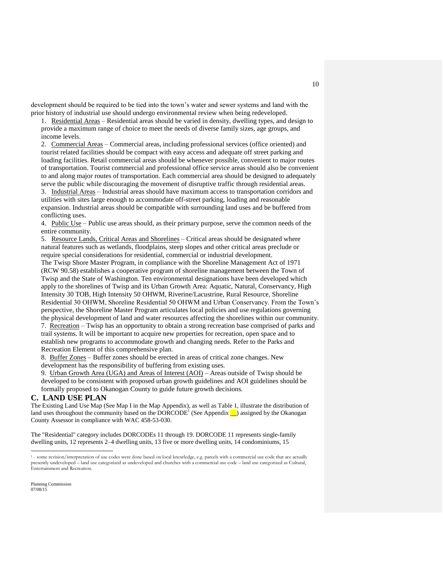development should be required to be tied into the town's water and sewer systems and land with the prior history of industrial use should undergo environmental review when being redeveloped.

1. Residential Areas – Residential areas should be varied in density, dwelling types, and design to provide a maximum range of choice to meet the needs of diverse family sizes, age groups, and income levels.

2. Commercial Areas – Commercial areas, including professional services (office oriented) and tourist related facilities should be compact with easy access and adequate off street parking and loading facilities. Retail commercial areas should be whenever possible, convenient to major routes of transportation. Tourist commercial and professional office service areas should also be convenient to and along major routes of transportation. Each commercial area should be designed to adequately serve the public while discouraging the movement of disruptive traffic through residential areas.

3. Industrial Areas – Industrial areas should have maximum access to transportation corridors and utilities with sites large enough to accommodate off-street parking, loading and reasonable expansion. Industrial areas should be compatible with surrounding land uses and be buffered from conflicting uses.

4. Public Use – Public use areas should, as their primary purpose, serve the common needs of the entire community.

5. Resource Lands, Critical Areas and Shorelines – Critical areas should be designated where natural features such as wetlands, floodplains, steep slopes and other critical areas preclude or require special considerations for residential, commercial or industrial development.

The Twisp Shore Master Program, in compliance with the Shoreline Management Act of 1971 (RCW 90.58) establishes a cooperative program of shoreline management between the Town of Twisp and the State of Washington. Ten environmental designations have been developed which apply to the shorelines of Twisp and its Urban Growth Area: Aquatic, Natural, Conservancy, High Intensity 30 TOB, High Intensity 50 OHWM, Riverine/Lacustrine, Rural Resource, Shoreline Residential 30 OHWM, Shoreline Residential 50 OHWM and Urban Conservancy. From the Town's perspective, the Shoreline Master Program articulates local policies and use regulations governing the physical development of land and water resources affecting the shorelines within our community. 7. Recreation – Twisp has an opportunity to obtain a strong recreation base comprised of parks and trail systems. It will be important to acquire new properties for recreation, open space and to establish new programs to accommodate growth and changing needs. Refer to the Parks and Recreation Element of this comprehensive plan.

8. Buffer Zones – Buffer zones should be erected in areas of critical zone changes. New development has the responsibility of buffering from existing uses.

9. Urban Growth Area (UGA) and Areas of Interest (AOI) – Areas outside of Twisp should be developed to be consistent with proposed urban growth guidelines and AOI guidelines should be formally proposed to Okanogan County to guide future growth decisions.

### **C. LAND USE PLAN**

The Existing Land Use Map (See Map I in the Map Appendix), as well as Table 1, illustrate the distribution of land uses throughout the community based on the  $DORCODE<sup>1</sup>$  (See Appendix  $\Box$ ) assigned by the Okanogan County Assessor in compliance with WAC 458-53-030.

The "Residential" category includes DORCODEs 11 through 19. DORCODE 11 represents single-family dwelling units, 12 represents 2–4 dwelling units, 13 five or more dwelling units, 14 condominiums, 15

Planning Commission 07/08/15

 $\overline{a}$ 

<sup>&</sup>lt;sup>1</sup> - some revision/interpretation of use codes were done based on local knowledge, e.g. parcels with a commercial use code that are actually<br>presently undeveloped – land use categorized as undeveloped and churches with a Entertainment and Recreation.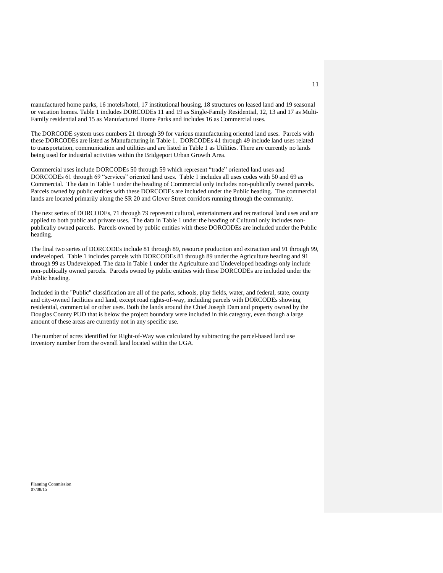manufactured home parks, 16 motels/hotel, 17 institutional housing, 18 structures on leased land and 19 seasonal or vacation homes. Table 1 includes DORCODEs 11 and 19 as Single-Family Residential, 12, 13 and 17 as Multi-Family residential and 15 as Manufactured Home Parks and includes 16 as Commercial uses.

The DORCODE system uses numbers 21 through 39 for various manufacturing oriented land uses. Parcels with these DORCODEs are listed as Manufacturing in Table 1. DORCODEs 41 through 49 include land uses related to transportation, communication and utilities and are listed in Table 1 as Utilities. There are currently no lands being used for industrial activities within the Bridgeport Urban Growth Area.

Commercial uses include DORCODEs 50 through 59 which represent "trade" oriented land uses and DORCODEs 61 through 69 "services" oriented land uses. Table 1 includes all uses codes with 50 and 69 as Commercial. The data in Table 1 under the heading of Commercial only includes non-publically owned parcels. Parcels owned by public entities with these DORCODEs are included under the Public heading. The commercial lands are located primarily along the SR 20 and Glover Street corridors running through the community.

The next series of DORCODEs, 71 through 79 represent cultural, entertainment and recreational land uses and are applied to both public and private uses. The data in Table 1 under the heading of Cultural only includes nonpublically owned parcels. Parcels owned by public entities with these DORCODEs are included under the Public heading.

The final two series of DORCODEs include 81 through 89, resource production and extraction and 91 through 99, undeveloped. Table 1 includes parcels with DORCODEs 81 through 89 under the Agriculture heading and 91 through 99 as Undeveloped. The data in Table 1 under the Agriculture and Undeveloped headings only include non-publically owned parcels. Parcels owned by public entities with these DORCODEs are included under the Public heading.

Included in the "Public" classification are all of the parks, schools, play fields, water, and federal, state, county and city-owned facilities and land, except road rights-of-way, including parcels with DORCODEs showing residential, commercial or other uses. Both the lands around the Chief Joseph Dam and property owned by the Douglas County PUD that is below the project boundary were included in this category, even though a large amount of these areas are currently not in any specific use.

The number of acres identified for Right-of-Way was calculated by subtracting the parcel-based land use inventory number from the overall land located within the UGA.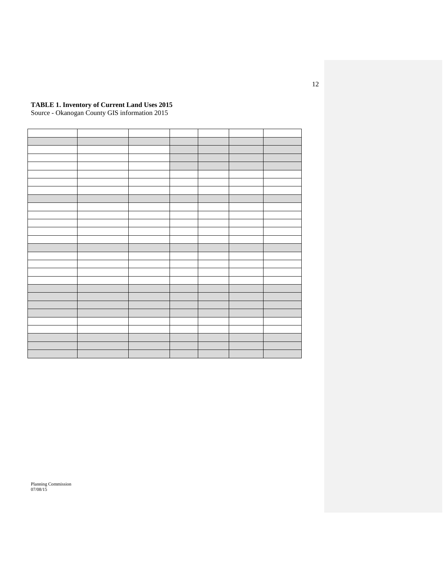#### **TABLE 1. Inventory of Current Land Uses 2015**

Source - Okanogan County GIS information 2015

Planning Commission 07/08/15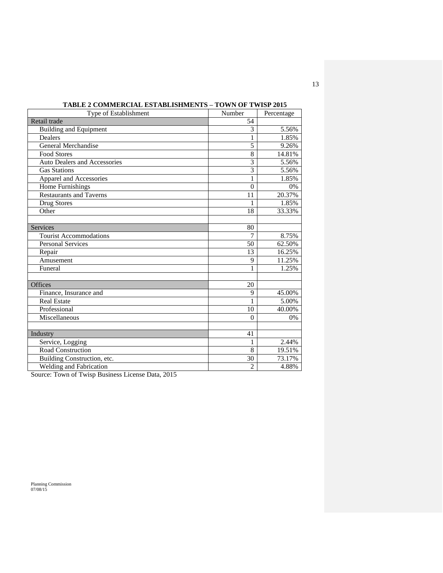| <b>Type of Establishment</b>        | Number         | Percentage |
|-------------------------------------|----------------|------------|
| Retail trade                        | 54             |            |
| <b>Building and Equipment</b>       | 3              | 5.56%      |
| <b>Dealers</b>                      | 1              | 1.85%      |
| General Merchandise                 | 5              | 9.26%      |
| Food Stores                         | 8              | 14.81%     |
| <b>Auto Dealers and Accessories</b> | $\overline{3}$ | 5.56%      |
| <b>Gas Stations</b>                 | 3              | 5.56%      |
| Apparel and Accessories             | 1              | 1.85%      |
| Home Furnishings                    | $\theta$       | 0%         |
| <b>Restaurants and Taverns</b>      | 11             | 20.37%     |
| Drug Stores                         |                | 1.85%      |
| Other                               | 18             | 33.33%     |
|                                     |                |            |
| Services                            | 80             |            |
| <b>Tourist Accommodations</b>       | $\overline{7}$ | 8.75%      |
| <b>Personal Services</b>            | 50             | 62.50%     |
| Repair                              | 13             | 16.25%     |
| Amusement                           | 9              | 11.25%     |
| Funeral                             | 1              | 1.25%      |
|                                     |                |            |
| Offices                             | 20             |            |
| Finance, Insurance and              | 9              | 45.00%     |
| <b>Real Estate</b>                  |                | 5.00%      |
| Professional                        | 10             | 40.00%     |
| Miscellaneous                       | $\Omega$       | 0%         |
|                                     |                |            |
| Industry                            | 41             |            |
| Service, Logging                    | 1              | 2.44%      |
| Road Construction                   | 8              | 19.51%     |
| Building Construction, etc.         | 30             | 73.17%     |
| Welding and Fabrication             | $\overline{2}$ | 4.88%      |

**TABLE 2 COMMERCIAL ESTABLISHMENTS – TOWN OF TWISP 2015**

Source: Town of Twisp Business License Data, 2015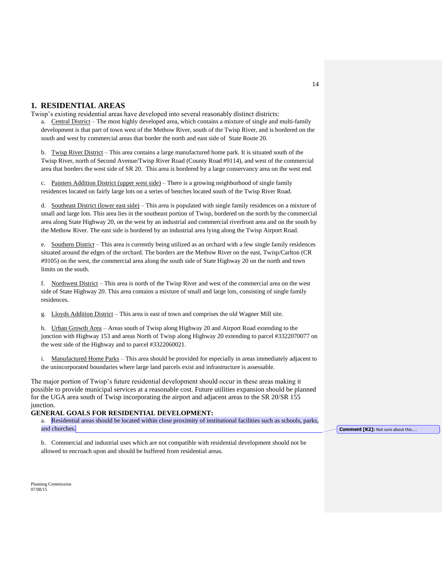### **1. RESIDENTIAL AREAS**

Twisp's existing residential areas have developed into several reasonably distinct districts:

a. Central District – The most highly developed area, which contains a mixture of single and multi-family development is that part of town west of the Methow River, south of the Twisp River, and is bordered on the south and west by commercial areas that border the north and east side of State Route 20.

b. Twisp River District – This area contains a large manufactured home park. It is situated south of the Twisp River, north of Second Avenue/Twisp River Road (County Road #9114), and west of the commercial area that borders the west side of SR 20. This area is bordered by a large conservancy area on the west end.

c. Painters Addition District (upper west side) – There is a growing neighborhood of single family residences located on fairly large lots on a series of benches located south of the Twisp River Road.

d. Southeast District (lower east side) – This area is populated with single family residences on a mixture of small and large lots. This area lies in the southeast portion of Twisp, bordered on the north by the commercial area along State Highway 20, on the west by an industrial and commercial riverfront area and on the south by the Methow River. The east side is bordered by an industrial area lying along the Twisp Airport Road.

e. Southern District – This area is currently being utilized as an orchard with a few single family residences situated around the edges of the orchard. The borders are the Methow River on the east, Twisp/Carlton (CR #9105) on the west, the commercial area along the south side of State Highway 20 on the north and town limits on the south.

f. Northwest District – This area is north of the Twisp River and west of the commercial area on the west side of State Highway 20. This area contains a mixture of small and large lots, consisting of single family residences.

g. Lloyds Addition District – This area is east of town and comprises the old Wagner Mill site.

h. Urban Growth Area - Areas south of Twisp along Highway 20 and Airport Road extending to the junction with Highway 153 and areas North of Twisp along Highway 20 extending to parcel #3322070077 on the west side of the Highway and to parcel #3322060021.

i. Manufactured Home Parks – This area should be provided for especially in areas immediately adjacent to the unincorporated boundaries where large land parcels exist and infrastructure is assessable.

The major portion of Twisp's future residential development should occur in these areas making it possible to provide municipal services at a reasonable cost. Future utilities expansion should be planned for the UGA area south of Twisp incorporating the airport and adjacent areas to the SR 20/SR 155 junction.

#### **GENERAL GOALS FOR RESIDENTIAL DEVELOPMENT:**

a. Residential areas should be located within close proximity of institutional facilities such as schools, parks, and churches.

b. Commercial and industrial uses which are not compatible with residential development should not be allowed to encroach upon and should be buffered from residential areas.

Planning Commission 07/08/15

**Comment [K2]: Not sure about this...**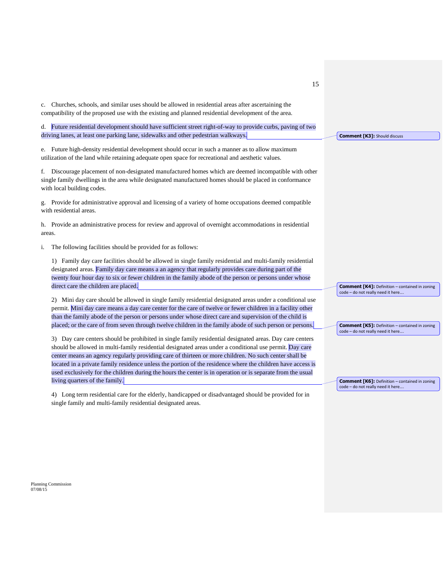c. Churches, schools, and similar uses should be allowed in residential areas after ascertaining the compatibility of the proposed use with the existing and planned residential development of the area.

d. Future residential development should have sufficient street right-of-way to provide curbs, paving of two driving lanes, at least one parking lane, sidewalks and other pedestrian walkways.

e. Future high-density residential development should occur in such a manner as to allow maximum utilization of the land while retaining adequate open space for recreational and aesthetic values.

f. Discourage placement of non-designated manufactured homes which are deemed incompatible with other single family dwellings in the area while designated manufactured homes should be placed in conformance with local building codes.

g. Provide for administrative approval and licensing of a variety of home occupations deemed compatible with residential areas.

h. Provide an administrative process for review and approval of overnight accommodations in residential areas.

i. The following facilities should be provided for as follows:

1) Family day care facilities should be allowed in single family residential and multi-family residential designated areas. Family day care means a an agency that regularly provides care during part of the twenty four hour day to six or fewer children in the family abode of the person or persons under whose direct care the children are placed.

2) Mini day care should be allowed in single family residential designated areas under a conditional use permit. Mini day care means a day care center for the care of twelve or fewer children in a facility other than the family abode of the person or persons under whose direct care and supervision of the child is placed; or the care of from seven through twelve children in the family abode of such person or persons.

3) Day care centers should be prohibited in single family residential designated areas. Day care centers should be allowed in multi-family residential designated areas under a conditional use permit. Day care center means an agency regularly providing care of thirteen or more children. No such center shall be located in a private family residence unless the portion of the residence where the children have access is used exclusively for the children during the hours the center is in operation or is separate from the usual living quarters of the family.

4) Long term residential care for the elderly, handicapped or disadvantaged should be provided for in single family and multi-family residential designated areas.

**Comment [K3]:** Should discuss

**Comment [K4]:** Definition – contained in zoning code – do not really need it here….

**Comment [K5]:** Definition – contained in zoning code – do not really need it here….

**Comment [K6]:** Definition – contained in zoning code – do not really need it here….

Planning Commission 07/08/15